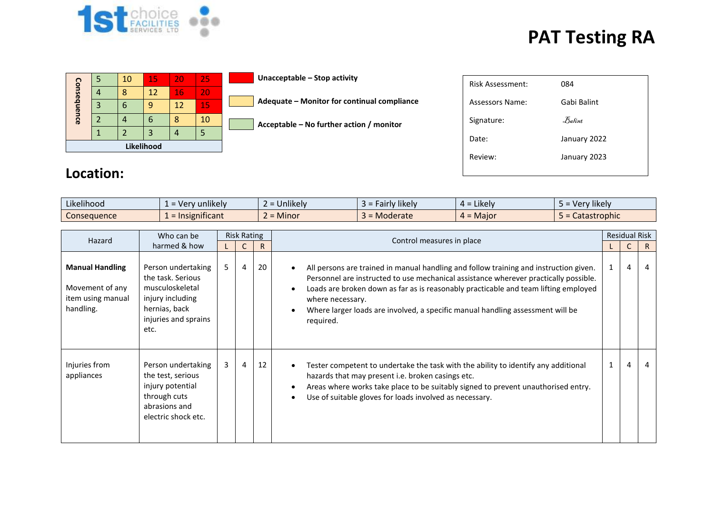

## **PAT Testing RA**

| Likelihood  |   |    |    |    |    |  |  |
|-------------|---|----|----|----|----|--|--|
|             |   |    |    |    |    |  |  |
|             |   |    | 6  |    | 10 |  |  |
| Consequence | 3 | 6  |    | 12 | 15 |  |  |
|             |   | ႙  | 12 | 16 | 20 |  |  |
|             | 5 | 10 | 15 | 20 | 25 |  |  |

**Unacceptable – Stop activity**

| $\overline{\phantom{a}}$ Adequate – Monitor for continual compliance |
|----------------------------------------------------------------------|
|                                                                      |

**Acceptable – No further action / monitor**

| <b>Risk Assessment:</b> | 084          |
|-------------------------|--------------|
| Assessors Name:         | Gabi Balint  |
| Signature:              | Balint       |
| Date:                   | January 2022 |
| Review:                 | January 2023 |
|                         |              |

## **Location:**

| $\cdots$<br>Likelihood | $\cdots$<br>' unlikelv<br>= verv      | $\cdots$<br><b>Unlikely</b> | $\cdots$<br><b>Hikely</b><br>۱۳۱۱.<br>an iv | Likely <b>C</b><br>$4 =$   | $\cdots$<br>Very likely<br>. – |
|------------------------|---------------------------------------|-----------------------------|---------------------------------------------|----------------------------|--------------------------------|
| Consequence            | $\cdot$ $\cdot$<br>Insignificant<br>- | Minor                       | Moderate                                    | <b>Maior</b><br>— n<br>∸ ∸ | Catastrophic                   |

| Hazard                                                                      | Who can be                                                                                                                      | <b>Risk Rating</b> |   |              | Control measures in place                                                                                                                                                                                                                                                                                                                                                               |  | <b>Residual Risk</b> |    |  |  |
|-----------------------------------------------------------------------------|---------------------------------------------------------------------------------------------------------------------------------|--------------------|---|--------------|-----------------------------------------------------------------------------------------------------------------------------------------------------------------------------------------------------------------------------------------------------------------------------------------------------------------------------------------------------------------------------------------|--|----------------------|----|--|--|
|                                                                             | harmed & how                                                                                                                    |                    | C | $\mathsf{R}$ |                                                                                                                                                                                                                                                                                                                                                                                         |  | C                    | R. |  |  |
| <b>Manual Handling</b><br>Movement of any<br>item using manual<br>handling. | Person undertaking<br>the task. Serious<br>musculoskeletal<br>injury including<br>hernias, back<br>injuries and sprains<br>etc. | 5                  | 4 | 20           | All persons are trained in manual handling and follow training and instruction given.<br>Personnel are instructed to use mechanical assistance wherever practically possible.<br>Loads are broken down as far as is reasonably practicable and team lifting employed<br>where necessary.<br>Where larger loads are involved, a specific manual handling assessment will be<br>required. |  | 4                    | 4  |  |  |
| Injuries from<br>appliances                                                 | Person undertaking<br>the test, serious<br>injury potential<br>through cuts<br>abrasions and<br>electric shock etc.             | 3                  | 4 | 12           | Tester competent to undertake the task with the ability to identify any additional<br>hazards that may present i.e. broken casings etc.<br>Areas where works take place to be suitably signed to prevent unauthorised entry.<br>Use of suitable gloves for loads involved as necessary.                                                                                                 |  | 4                    | 4  |  |  |